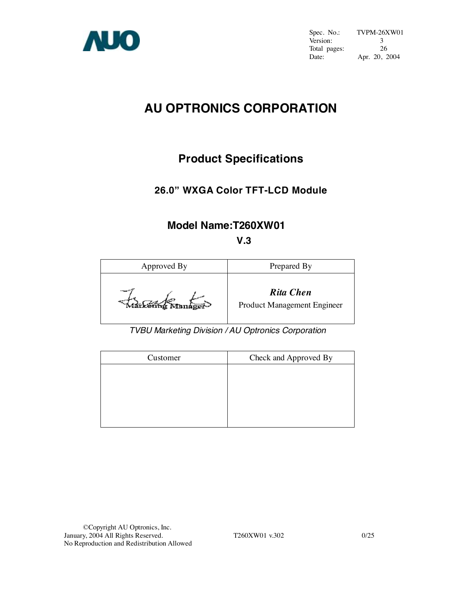

Spec. No.: TVPM-26XW01<br>Version: 3 Version: 3<br>Total pages: 26 Total pages:<br>Date: Apr. 20, 2004

# **AU OPTRONICS CORPORATION**

# **Product Specifications**

## **26.0" WXGA Color TFT-LCD Module**

# **Model Name:T260XW01**

## **V.3**



*TVBU Marketing Division / AU Optronics Corporation*

| Customer | Check and Approved By |
|----------|-----------------------|
|          |                       |
|          |                       |
|          |                       |
|          |                       |
|          |                       |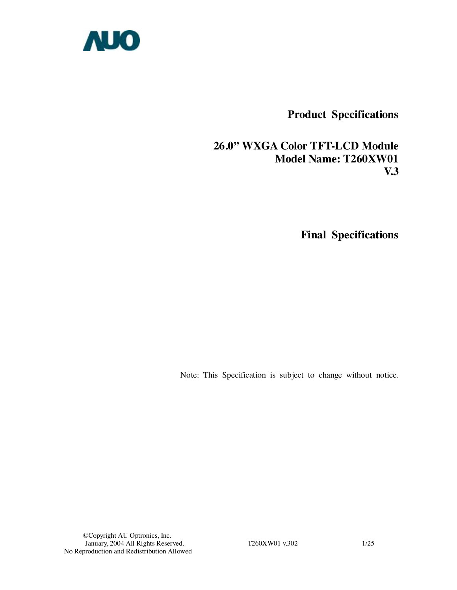

**Product Specifications** 

## **26.0" WXGA Color TFT-LCD Module Model Name: T260XW01 V.3**

 **Final Specifications** 

Note: This Specification is subject to change without notice.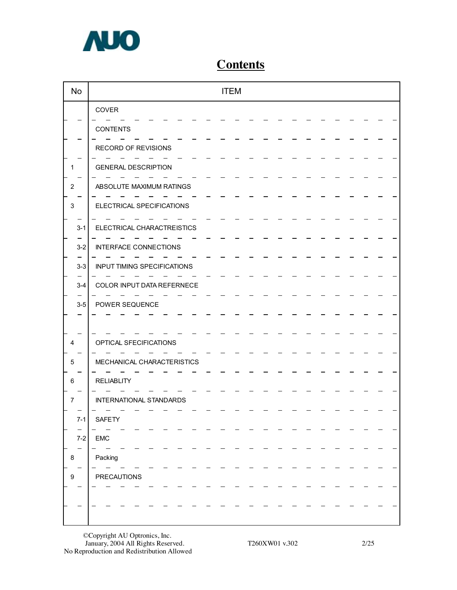

# **Contents**

| <b>No</b>        | <b>ITEM</b>                        |  |
|------------------|------------------------------------|--|
|                  | COVER                              |  |
|                  | <b>CONTENTS</b>                    |  |
|                  | RECORD OF REVISIONS                |  |
| 1                | <b>GENERAL DESCRIPTION</b>         |  |
| $\overline{c}$   | ABSOLUTE MAXIMUM RATINGS           |  |
| 3                | ELECTRICAL SPECIFICATIONS          |  |
| $3 - 1$          | ELECTRICAL CHARACTREISTICS         |  |
| $3 - 2$          | <b>INTERFACE CONNECTIONS</b>       |  |
| $3 - 3$          | <b>INPUT TIMING SPECIFICATIONS</b> |  |
| $3 - 4$          | COLOR INPUT DATA REFERNECE         |  |
| $3-5$            | POWER SEQUENCE                     |  |
|                  |                                    |  |
| 4                | OPTICAL SFECIFICATIONS             |  |
| 5                | MECHANICAL CHARACTERISTICS         |  |
| 6                | <b>RELIABLITY</b>                  |  |
| $\overline{7}$   | INTERNATIONAL STANDARDS            |  |
| $7-1$            | SAFETY                             |  |
| $7 - 2$          | ${\sf EMC}$                        |  |
|                  | Packing                            |  |
| 8                |                                    |  |
| $\boldsymbol{9}$ | <b>PRECAUTIONS</b>                 |  |
|                  |                                    |  |
|                  |                                    |  |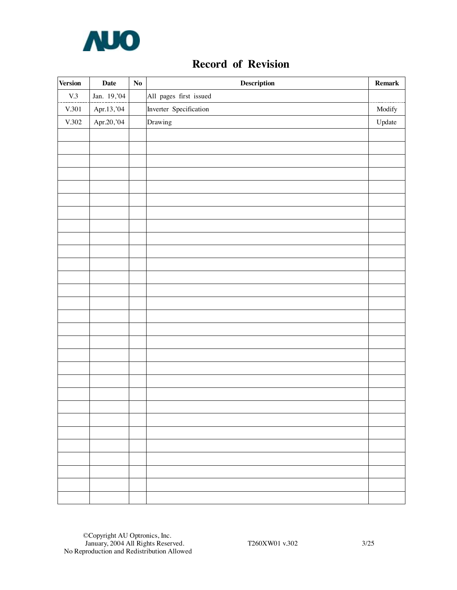

# **Record of Revision**

| $\mbox{V.3}$<br>Jan. 19, 04<br>All pages first issued<br>Inverter Specification<br>$\rm V.301$<br>Apr.13,'04<br>Apr.20,'04<br>Drawing<br>$\rm V.302$ | Modify<br>$\bold{Update}$ |
|------------------------------------------------------------------------------------------------------------------------------------------------------|---------------------------|
|                                                                                                                                                      |                           |
|                                                                                                                                                      |                           |
|                                                                                                                                                      |                           |
|                                                                                                                                                      |                           |
|                                                                                                                                                      |                           |
|                                                                                                                                                      |                           |
|                                                                                                                                                      |                           |
|                                                                                                                                                      |                           |
|                                                                                                                                                      |                           |
|                                                                                                                                                      |                           |
|                                                                                                                                                      |                           |
|                                                                                                                                                      |                           |
|                                                                                                                                                      |                           |
|                                                                                                                                                      |                           |
|                                                                                                                                                      |                           |
|                                                                                                                                                      |                           |
|                                                                                                                                                      |                           |
|                                                                                                                                                      |                           |
|                                                                                                                                                      |                           |
|                                                                                                                                                      |                           |
|                                                                                                                                                      |                           |
|                                                                                                                                                      |                           |
|                                                                                                                                                      |                           |
|                                                                                                                                                      |                           |
|                                                                                                                                                      |                           |
|                                                                                                                                                      |                           |
|                                                                                                                                                      |                           |
|                                                                                                                                                      |                           |
|                                                                                                                                                      |                           |
|                                                                                                                                                      |                           |
|                                                                                                                                                      |                           |
|                                                                                                                                                      |                           |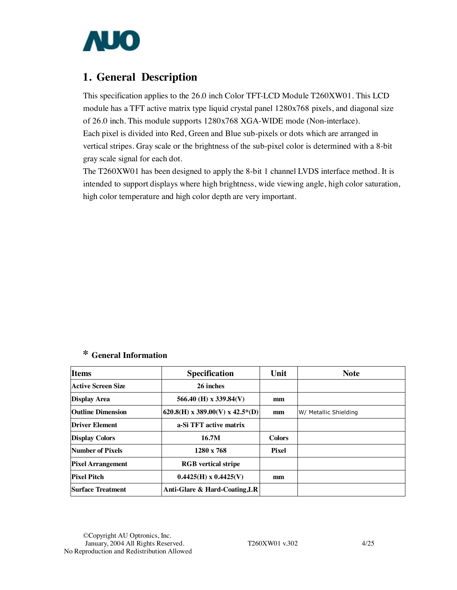

## **1. General Description**

This specification applies to the 26.0 inch Color TFT-LCD Module T260XW01. This LCD module has a TFT active matrix type liquid crystal panel 1280x768 pixels, and diagonal size of 26.0 inch. This module supports 1280x768 XGA-WIDE mode (Non-interlace). Each pixel is divided into Red, Green and Blue sub-pixels or dots which are arranged in vertical stripes. Gray scale or the brightness of the sub-pixel color is determined with a 8-bit gray scale signal for each dot.

The T260XW01 has been designed to apply the 8-bit 1 channel LVDS interface method. It is intended to support displays where high brightness, wide viewing angle, high color saturation, high color temperature and high color depth are very important.

### **\* General Information**

| <b>Items</b>              | <b>Specification</b>            | Unit          | <b>Note</b>           |
|---------------------------|---------------------------------|---------------|-----------------------|
| <b>Active Screen Size</b> | 26 inches                       |               |                       |
| <b>Display Area</b>       | 566.40 (H) x 339.84(V)          | mm            |                       |
| <b>Outline Dimension</b>  | 620.8(H) x 389.00(V) x 42.5*(D) | mm            | W/ Metallic Shielding |
| <b>Driver Element</b>     | a-Si TFT active matrix          |               |                       |
| <b>Display Colors</b>     | 16.7M                           | <b>Colors</b> |                       |
| Number of Pixels          | $1280 \times 768$               | Pixel         |                       |
| <b>Pixel Arrangement</b>  | <b>RGB</b> vertical stripe      |               |                       |
| <b>Pixel Pitch</b>        | $0.4425(H) \times 0.4425(V)$    | mm            |                       |
| <b>Surface Treatment</b>  | Anti-Glare & Hard-Coating, LR   |               |                       |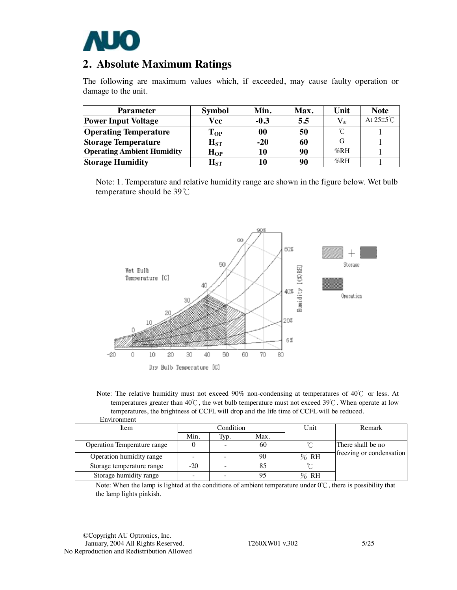

## **2. Absolute Maximum Ratings**

The following are maximum values which, if exceeded, may cause faulty operation or damage to the unit.

| <b>Parameter</b>                  | <b>Symbol</b>              | Min.   | Max. | Unit     | <b>Note</b>           |
|-----------------------------------|----------------------------|--------|------|----------|-----------------------|
| <b>Power Input Voltage</b>        | Vcc                        | $-0.3$ | 5.5  | $V_{dc}$ | At $25\pm5^{\circ}$ C |
| <b>Operating Temperature</b>      | $\bf Top$                  | 00     | 50   | $\sim$   |                       |
| <b>Storage Temperature</b>        | $\mathbf{H}_{\mathrm{ST}}$ | $-20$  | 60   |          |                       |
| <b>Operating Ambient Humidity</b> | $H_{OP}$                   | 10     | 90   | %RH      |                       |
| <b>Storage Humidity</b>           | $\mathbf{H}_{\mathrm{ST}}$ | 10     | 90   | %RH      |                       |

Note: 1. Temperature and relative humidity range are shown in the figure below. Wet bulb temperature should be 39℃





| <u>Lii vii viittivii t</u>  |           |      |      |      |                          |
|-----------------------------|-----------|------|------|------|--------------------------|
| Item                        | Condition |      |      | Unit | Remark                   |
|                             | Min.      | Typ. | Max. |      |                          |
| Operation Temperature range |           |      | 60   |      | There shall be no        |
| Operation humidity range    |           |      | 90   | % RH | freezing or condensation |
| Storage temperature range   | $-20$     |      | 85   |      |                          |
| Storage humidity range      | -         |      | 95   | %RH  |                          |

Note: When the lamp is lighted at the conditions of ambient temperature under  $0^{\circ}$ C, there is possibility that the lamp lights pinkish.

©Copyright AU Optronics, Inc. January, 2004 All Rights Reserved. T260XW01 v.302 5/25 No Reproduction and Redistribution Allowed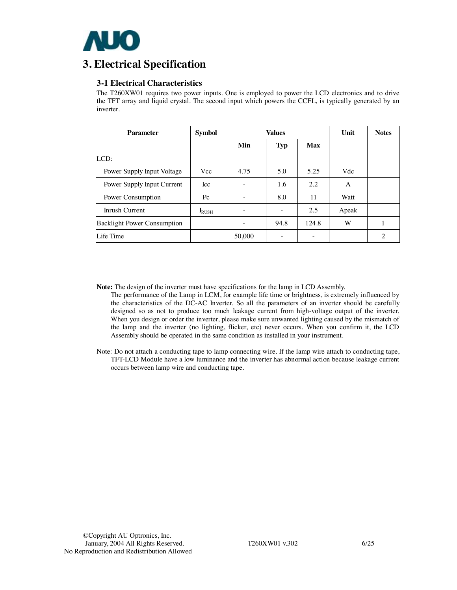

## **3. Electrical Specification**

### **3-1 Electrical Characteristics**

The T260XW01 requires two power inputs. One is employed to power the LCD electronics and to drive the TFT array and liquid crystal. The second input which powers the CCFL, is typically generated by an inverter.

| <b>Parameter</b>                   | <b>Symbol</b>  | <b>Values</b> |            |            | Unit  | <b>Notes</b>   |
|------------------------------------|----------------|---------------|------------|------------|-------|----------------|
|                                    |                | Min           | <b>Typ</b> | <b>Max</b> |       |                |
| LCD:                               |                |               |            |            |       |                |
| Power Supply Input Voltage         | Vcc            | 4.75          | 5.0        | 5.25       | Vdc   |                |
| Power Supply Input Current         | <b>Icc</b>     | -             | 1.6        | 2.2        | A     |                |
| Power Consumption                  | $P_{\rm C}$    | -             | 8.0        | 11         | Watt  |                |
| Inrush Current                     | $I_{\rm RUSH}$ | -             |            | 2.5        | Apeak |                |
| <b>Backlight Power Consumption</b> |                | -             | 94.8       | 124.8      | W     |                |
| Life Time                          |                | 50,000        |            |            |       | $\mathfrak{D}$ |

**Note:** The design of the inverter must have specifications for the lamp in LCD Assembly.

The performance of the Lamp in LCM, for example life time or brightness, is extremely influenced by the characteristics of the DC-AC Inverter. So all the parameters of an inverter should be carefully designed so as not to produce too much leakage current from high-voltage output of the inverter. When you design or order the inverter, please make sure unwanted lighting caused by the mismatch of the lamp and the inverter (no lighting, flicker, etc) never occurs. When you confirm it, the LCD Assembly should be operated in the same condition as installed in your instrument.

Note: Do not attach a conducting tape to lamp connecting wire. If the lamp wire attach to conducting tape, TFT-LCD Module have a low luminance and the inverter has abnormal action because leakage current occurs between lamp wire and conducting tape.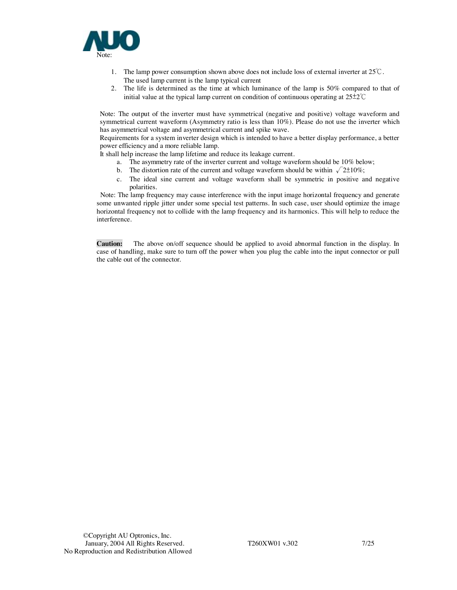

- 1. The lamp power consumption shown above does not include loss of external inverter at 25℃. The used lamp current is the lamp typical current
- 2. The life is determined as the time at which luminance of the lamp is 50% compared to that of initial value at the typical lamp current on condition of continuous operating at 25±2℃

Note: The output of the inverter must have symmetrical (negative and positive) voltage waveform and symmetrical current waveform (Asymmetry ratio is less than 10%). Please do not use the inverter which has asymmetrical voltage and asymmetrical current and spike wave.

Requirements for a system inverter design which is intended to have a better display performance, a better power efficiency and a more reliable lamp.

It shall help increase the lamp lifetime and reduce its leakage current.

- a. The asymmetry rate of the inverter current and voltage waveform should be 10% below;
- b. The distortion rate of the current and voltage waveform should be within  $\sqrt{2\pm 10\%}$ ;
- c. The ideal sine current and voltage waveform shall be symmetric in positive and negative polarities.

Note: The lamp frequency may cause interference with the input image horizontal frequency and generate some unwanted ripple jitter under some special test patterns. In such case, user should optimize the image horizontal frequency not to collide with the lamp frequency and its harmonics. This will help to reduce the interference.

**Caution:** The above on/off sequence should be applied to avoid abnormal function in the display. In case of handling, make sure to turn off the power when you plug the cable into the input connector or pull the cable out of the connector.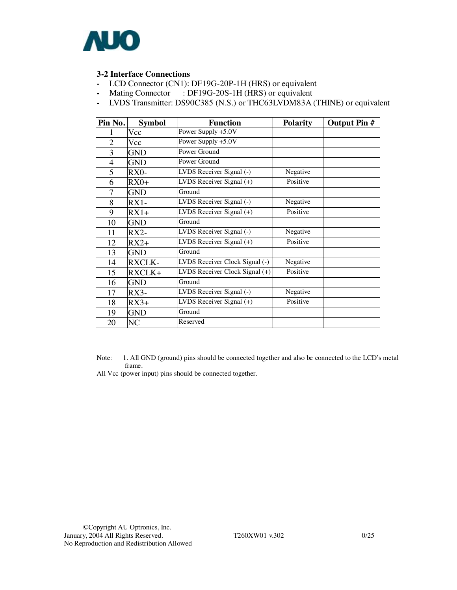

### **3-2 Interface Connections**

- LCD Connector (CN1): DF19G-20P-1H (HRS) or equivalent
- Mating Connector : DF19G-20S-1H (HRS) or equivalent
- LVDS Transmitter: DS90C385 (N.S.) or THC63LVDM83A (THINE) or equivalent

| Pin No.        | <b>Symbol</b> | <b>Function</b>                                 | <b>Polarity</b> | <b>Output Pin #</b> |
|----------------|---------------|-------------------------------------------------|-----------------|---------------------|
|                | Vcc           | Power Supply +5.0V                              |                 |                     |
| $\overline{2}$ | Vcc           | Power Supply +5.0V                              |                 |                     |
| 3              | <b>GND</b>    | Power Ground                                    |                 |                     |
| $\overline{4}$ | <b>GND</b>    | Power Ground                                    |                 |                     |
| 5              | RX0-          | LVDS Receiver Signal (-)                        | Negative        |                     |
| 6              | $RX0+$        | LVDS Receiver Signal $(+)$                      | Positive        |                     |
| 7              | <b>GND</b>    | Ground                                          |                 |                     |
| 8              | $RX1-$        | LVDS Receiver Signal (-)                        | Negative        |                     |
| 9              | $RX1+$        | LVDS Receiver Signal $(+)$                      | Positive        |                     |
| 10             | <b>GND</b>    | Ground                                          |                 |                     |
| 11             | $RX2-$        | LVDS Receiver Signal (-)                        | Negative        |                     |
| 12             | $RX2+$        | $\overline{\text{LVD}}$ S Receiver Signal $(+)$ | Positive        |                     |
| 13             | <b>GND</b>    | Ground                                          |                 |                     |
| 14             | <b>RXCLK-</b> | LVDS Receiver Clock Signal (-)                  | Negative        |                     |
| 15             | RXCLK+        | LVDS Receiver Clock Signal (+)                  | Positive        |                     |
| 16             | <b>GND</b>    | Ground                                          |                 |                     |
| 17             | $RX3-$        | LVDS Receiver Signal (-)                        | Negative        |                     |
| 18             | $RX3+$        | $\overline{\text{LVDS}}$ Receiver Signal $(+)$  | Positive        |                     |
| 19             | <b>GND</b>    | Ground                                          |                 |                     |
| 20             | NC            | Reserved                                        |                 |                     |

Note: 1. All GND (ground) pins should be connected together and also be connected to the LCD's metal frame.

All Vcc (power input) pins should be connected together.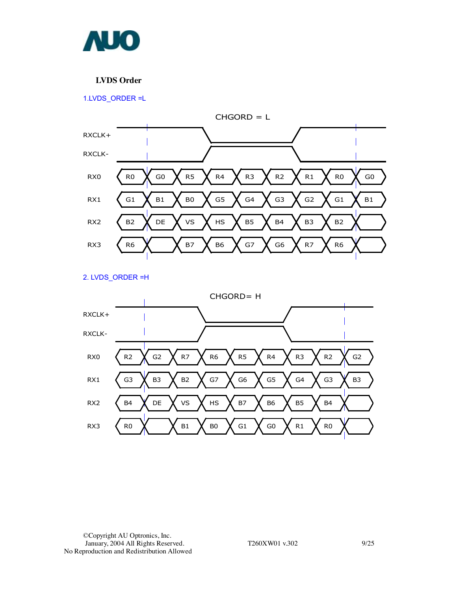

### **LVDS Order**

1.LVDS\_ORDER =L



2. LVDS\_ORDER =H

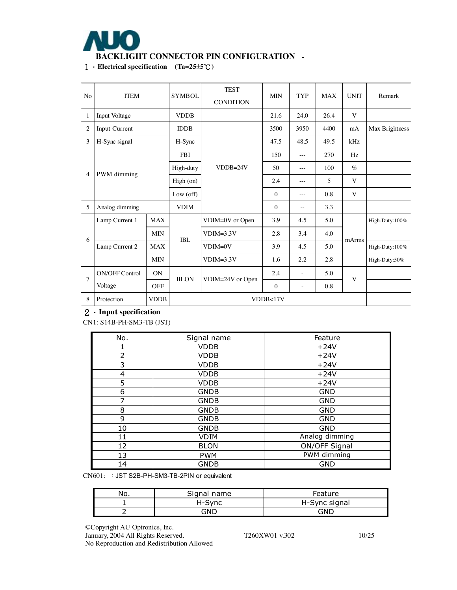

1.**Electrical specification (Ta=25**±**5**℃**)** 

| N <sub>o</sub> | <b>ITEM</b>                                                           |             |                 | <b>TEST</b><br><b>CONDITION</b> | <b>MIN</b>       | <b>TYP</b>               | <b>MAX</b> | <b>UNIT</b> | Remark         |
|----------------|-----------------------------------------------------------------------|-------------|-----------------|---------------------------------|------------------|--------------------------|------------|-------------|----------------|
| 1              | Input Voltage                                                         |             | <b>VDDB</b>     |                                 | 21.6             | 24.0                     | 26.4       | V           |                |
| $\overline{2}$ | Input Current                                                         |             | <b>IDDB</b>     |                                 | 3500             | 3950                     | 4400       | mA          | Max Brightness |
| 3              | H-Sync signal<br>PWM dimming<br>$\overline{4}$<br>5<br>Analog dimming |             | H-Sync          |                                 | 47.5             | 48.5                     | 49.5       | kHz         |                |
|                |                                                                       |             | <b>FBI</b>      |                                 | 150              | $---$                    | 270        | Hz          |                |
|                |                                                                       |             | High-duty       | $VDDB=24V$                      | 50               | ---                      | 100        | $\%$        |                |
|                |                                                                       |             | High (on)       |                                 | 2.4              | $- - -$                  | 5          | V           |                |
|                |                                                                       |             | Low $($ off $)$ |                                 | $\theta$         | ---                      | 0.8        | V           |                |
|                |                                                                       |             | <b>VDIM</b>     |                                 | $\theta$         | $-$                      | 3.3        |             |                |
|                | Lamp Current 1                                                        | <b>MAX</b>  |                 | VDIM=0V or Open                 | 3.9              | 4.5                      | 5.0        |             | High-Duty:100% |
| 6              |                                                                       | <b>MIN</b>  | <b>IBL</b>      | $VDIM=3.3V$                     | 2.8              | 3.4                      | 4.0        | mArms       |                |
|                | Lamp Current 2                                                        | <b>MAX</b>  |                 | $VDIM=0V$                       | 3.9              | 4.5                      | 5.0        |             | High-Duty:100% |
|                | <b>MIN</b>                                                            |             |                 | $VDIM=3.3V$                     | 1.6              | 2.2                      | 2.8        |             | High-Duty:50%  |
| $\overline{7}$ | <b>ON/OFF Control</b>                                                 | ON          | <b>BLON</b>     | VDIM=24V or Open                | 2.4              | $\overline{\phantom{m}}$ | 5.0        | V           |                |
|                | Voltage                                                               | <b>OFF</b>  |                 |                                 | $\boldsymbol{0}$ | ÷,                       | 0.8        |             |                |
| 8              | Protection                                                            | <b>VDDB</b> |                 |                                 | VDDB<17V         |                          |            |             |                |

### 2.**Input specification**

CN1: S14B-PH-SM3-TB (JST)

| No.            | Signal name | Feature        |  |  |
|----------------|-------------|----------------|--|--|
| 1              | <b>VDDB</b> | $+24V$         |  |  |
| $\overline{2}$ | <b>VDDB</b> | $+24V$         |  |  |
| 3              | <b>VDDB</b> | $+24V$         |  |  |
| 4              | <b>VDDB</b> | $+24V$         |  |  |
| 5              | <b>VDDB</b> | $+24V$         |  |  |
| 6              | <b>GNDB</b> | <b>GND</b>     |  |  |
| 7              | <b>GNDB</b> | <b>GND</b>     |  |  |
| 8              | <b>GNDB</b> | <b>GND</b>     |  |  |
| 9              | <b>GNDB</b> | <b>GND</b>     |  |  |
| 10             | <b>GNDB</b> | <b>GND</b>     |  |  |
| 11             | <b>VDIM</b> | Analog dimming |  |  |
| 12             | <b>BLON</b> | ON/OFF Signal  |  |  |
| 13             | <b>PWM</b>  | PWM dimming    |  |  |
| 14             | <b>GNDB</b> | <b>GND</b>     |  |  |

CN601: :JST S2B-PH-SM3-TB-2PIN or equivalent

| No. | Signal name | Feature       |
|-----|-------------|---------------|
|     | H-Svnc      | H-Sync signal |
|     | GND         | GNL           |

©Copyright AU Optronics, Inc.

January, 2004 All Rights Reserved. T260XW01 v.302 10/25 No Reproduction and Redistribution Allowed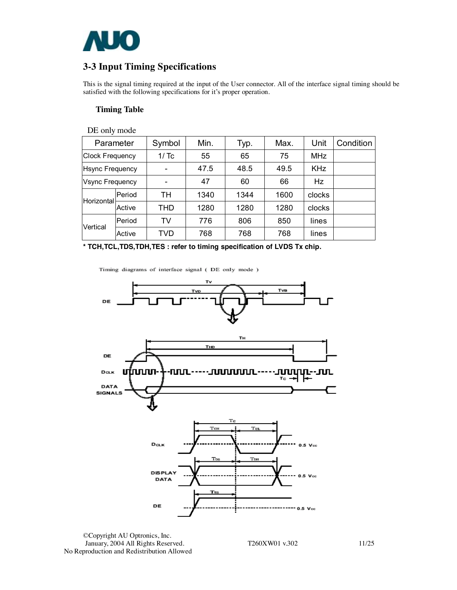

## **3-3 Input Timing Specifications**

This is the signal timing required at the input of the User connector. All of the interface signal timing should be satisfied with the following specifications for it's proper operation.

#### **Timing Table**

DE only mode

| Parameter              |        | Symbol | Min. | Typ. | Max. | Unit       | Condition |
|------------------------|--------|--------|------|------|------|------------|-----------|
| <b>Clock Frequency</b> |        | 1/Tc   | 55   | 65   | 75   | <b>MHz</b> |           |
| <b>Hsync Frequency</b> |        |        | 47.5 | 48.5 | 49.5 | <b>KHz</b> |           |
| <b>Vsync Frequency</b> |        |        | 47   | 60   | 66   | <b>Hz</b>  |           |
| Horizontal             | Period | TН     | 1340 | 1344 | 1600 | clocks     |           |
|                        | Active | THD    | 1280 | 1280 | 1280 | clocks     |           |
| Vertical               | Period | TV     | 776  | 806  | 850  | lines      |           |
|                        | Active | TVD    | 768  | 768  | 768  | lines      |           |

**\* TCH,TCL,TDS,TDH,TES : refer to timing specification of LVDS Tx chip.**

Timing diagrams of interface signal (DE only mode )



©Copyright AU Optronics, Inc. January, 2004 All Rights Reserved. T260XW01 v.302 11/25 No Reproduction and Redistribution Allowed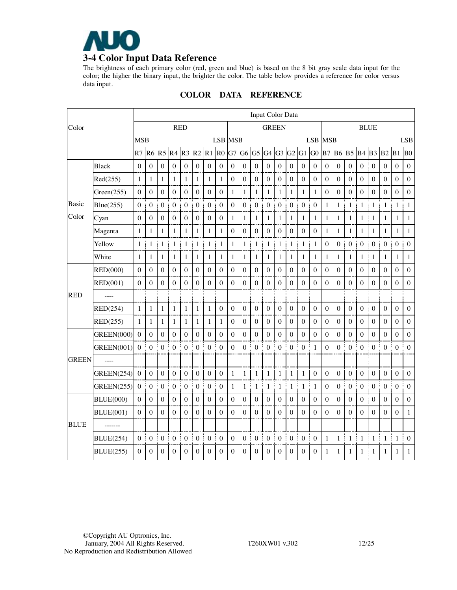

The brightness of each primary color (red, green and blue) is based on the 8 bit gray scale data input for the color; the higher the binary input, the brighter the color. The table below provides a reference for color versus data input.

| Color        |                   | Input Color Data |                  |                  |                    |                       |                       |                     |                    |                  |                       |                  |                  |                       |                  |                  |                   |                     |                   |                     |                   |                  |                  |                        |                       |
|--------------|-------------------|------------------|------------------|------------------|--------------------|-----------------------|-----------------------|---------------------|--------------------|------------------|-----------------------|------------------|------------------|-----------------------|------------------|------------------|-------------------|---------------------|-------------------|---------------------|-------------------|------------------|------------------|------------------------|-----------------------|
|              |                   | <b>RED</b>       |                  |                  |                    | <b>GREEN</b>          |                       |                     |                    | <b>BLUE</b>      |                       |                  |                  |                       |                  |                  |                   |                     |                   |                     |                   |                  |                  |                        |                       |
|              |                   | <b>MSB</b>       |                  |                  |                    |                       |                       |                     | <b>LSB MSB</b>     |                  |                       |                  |                  |                       |                  |                  |                   | <b>LSB MSB</b>      |                   |                     |                   |                  |                  |                        | <b>LSB</b>            |
|              |                   | R7               | R <sub>6</sub>   |                  | $R5$ <sub>R4</sub> | R <sub>3</sub>        | R2                    | $R1$ $R0$           |                    | G7 G6            |                       | G <sub>5</sub>   |                  | G4 G3 G2              |                  | G1               | G <sub>0</sub>    | B7                  | <b>B6</b>         | <b>B5</b>           | B <sub>4</sub>    | B <sub>3</sub>   | B <sub>2</sub>   | B1                     | B <sub>0</sub>        |
|              | <b>Black</b>      | $\boldsymbol{0}$ | $\boldsymbol{0}$ | $\boldsymbol{0}$ | $\boldsymbol{0}$   | $\mathbf{0}$          | $\boldsymbol{0}$      | $\boldsymbol{0}$    | $\boldsymbol{0}$   | $\boldsymbol{0}$ | $\boldsymbol{0}$      | $\boldsymbol{0}$ | $\boldsymbol{0}$ | $\mathbf{0}$          | $\boldsymbol{0}$ | $\mathbf{0}$     | $\boldsymbol{0}$  | $\boldsymbol{0}$    | $\boldsymbol{0}$  | $\boldsymbol{0}$    | $\boldsymbol{0}$  | $\boldsymbol{0}$ | $\boldsymbol{0}$ | $\boldsymbol{0}$       | $\boldsymbol{0}$      |
|              | Red(255)          | 1                | $\mathbf{1}$     | $\mathbf{1}$     | $\mathbf{1}$       | $\mathbf{1}$          | $\mathbf{1}$          | ł<br>$\mathbf{1}$   | $\mathbf{1}$       | $\boldsymbol{0}$ | $\boldsymbol{0}$      | $\boldsymbol{0}$ | $\mathbf{0}$     | $\boldsymbol{0}$      | $\boldsymbol{0}$ | $\boldsymbol{0}$ | $\boldsymbol{0}$  | $\boldsymbol{0}$    | $\boldsymbol{0}$  | $\boldsymbol{0}$    | $\boldsymbol{0}$  | $\boldsymbol{0}$ | $\boldsymbol{0}$ | $\mathbf{0}$           | $\boldsymbol{0}$      |
|              | Green(255)        | $\boldsymbol{0}$ | $\boldsymbol{0}$ | $\boldsymbol{0}$ | $\mathbf{0}$       | $\boldsymbol{0}$      | $\mathbf{0}$          | $\boldsymbol{0}$    | $\boldsymbol{0}$   | 1                | $\mathbf{1}$          | 1                | $\mathbf{1}$     | 1                     | 1                | $\mathbf{1}$     | $\mathbf{1}$      | $\boldsymbol{0}$    | $\boldsymbol{0}$  | $\Omega$            | $\boldsymbol{0}$  | $\boldsymbol{0}$ | $\theta$         | $\boldsymbol{0}$       | $\mathbf{0}$          |
| <b>Basic</b> | Blue(255)         | $\boldsymbol{0}$ | $\boldsymbol{0}$ | $\boldsymbol{0}$ | $\bf{0}$           | ÷<br>$\boldsymbol{0}$ | $\mathbf{0}$          | đ<br>$\mathbf{0}$   | $\boldsymbol{0}$   | $\overline{0}$   | $\boldsymbol{0}$<br>ĵ | $\mathbf{0}$     | $\overline{0}$   | ŧ<br>$\mathbf{0}$     | $\mathbf{0}$     | $\mathbf{0}$     | $\mathbf{0}$      | 1                   | ÷<br>$\mathbf{1}$ | $\mathbf{1}$        | ł<br>$\mathbf{1}$ | $\mathbf{1}$     | $\mathbf{1}$     | Ť.<br>$\mathbf{1}$     | $\mathbf{1}$          |
| Color        | Cyan              | $\boldsymbol{0}$ | $\mathbf{0}$     | $\mathbf{0}$     | $\mathbf{0}$       | $\boldsymbol{0}$      | $\mathbf{0}$          | $\overline{0}$      | $\boldsymbol{0}$   | 1                | I<br>1                | 1                | 1                | 1                     | 1                | 1                | 1                 | 1                   | 1                 | $\mathbf{1}$        | 1                 | 1                | 1                | 1                      | $\mathbf{1}$          |
|              | Magenta           | $\mathbf{1}$     | $\mathbf{1}$     | $\mathbf{1}$     | $\mathbf{1}$       | $\mathbf{1}$          | $\mathbf{1}$          | $\mathbf{1}$        | $\mathbf{1}$       | $\boldsymbol{0}$ | $\boldsymbol{0}$      | $\boldsymbol{0}$ | $\boldsymbol{0}$ | $\mathbf{0}$          | $\boldsymbol{0}$ | $\boldsymbol{0}$ | $\boldsymbol{0}$  | 1                   | $\mathbf{1}$      | $\mathbf{1}$        | $\mathbf{1}$      | $\mathbf{1}$     | $\mathbf{1}$     | $\mathbf{1}$           | $\mathbf{1}$          |
|              | Yellow            | 1                | $\mathbf{1}$     | 1                | $\mathbf{1}$<br>j  | I<br>$\mathbf{1}$     | $\mathbf{1}$          | $\mathbf{1}$        | a.<br>$\mathbf{1}$ | 1                | Ť<br>$\mathbf{1}$     | $\mathbf{1}$     | $\mathbf{1}$     | ł<br>$\mathbf{1}$     | $\mathbf{1}$     | 1                | $\mathbf{1}$      | $\mathbf{0}$<br>÷   | $\boldsymbol{0}$  | $\mathbf{0}$<br>ŧ   | $\overline{0}$    | $\mathbf{0}$     | $\mathbf{0}$     | ł<br>$\mathbf{0}$      | $\mathbf{0}$          |
|              | White             | 1                | $\mathbf{1}$     | 1                | $\mathbf{1}$       | 1                     | $\mathbf{1}$          | 1                   | 1                  | 1                | $\mathbf{1}$<br>4     | 1                | $\mathbf{1}$     | 1                     | 1                | 1                | 1                 | 1                   | 1                 | $\mathbf{1}$        | 1                 | $\mathbf{1}$     | 1                | 1                      | $\mathbf{1}$          |
| <b>RED</b>   | <b>RED(000)</b>   | $\theta$         | $\boldsymbol{0}$ | $\theta$         | $\boldsymbol{0}$   | $\boldsymbol{0}$      | $\boldsymbol{0}$      | $\mathbf{0}$        | $\boldsymbol{0}$   | $\boldsymbol{0}$ | $\mathbf{0}$          | $\boldsymbol{0}$ | $\boldsymbol{0}$ | $\mathbf{0}$          | $\boldsymbol{0}$ | $\mathbf{0}$     | $\boldsymbol{0}$  | 0                   | $\boldsymbol{0}$  | $\mathbf{0}$        | $\boldsymbol{0}$  | $\mathbf{0}$     | $\mathbf{0}$     | $\Omega$               | $\mathbf{0}$          |
|              | RED(001)          | $\mathbf{0}$     | $\boldsymbol{0}$ | $\theta$         | $\boldsymbol{0}$   | $\boldsymbol{0}$      | $\boldsymbol{0}$      | $\mathbf{0}$        | $\boldsymbol{0}$   | $\boldsymbol{0}$ | $\boldsymbol{0}$      | $\boldsymbol{0}$ | $\boldsymbol{0}$ | $\mathbf{0}$          | $\boldsymbol{0}$ | $\boldsymbol{0}$ | $\theta$          | $\theta$            | $\mathbf{0}$      | $\boldsymbol{0}$    | $\mathbf{0}$      | $\mathbf{0}$     | $\boldsymbol{0}$ | $\boldsymbol{0}$       | $\boldsymbol{0}$      |
|              |                   |                  |                  |                  |                    |                       |                       |                     |                    |                  |                       |                  |                  |                       |                  |                  |                   |                     |                   |                     |                   |                  |                  |                        |                       |
|              | RED(254)          | $\mathbf{1}$     | $\mathbf{1}$     | $\mathbf{1}$     | $\mathbf{1}$       | $\mathbf{1}$          | $\mathbf{1}$          | $\mathbf{1}$        | $\mathbf{0}$       | $\boldsymbol{0}$ | $\boldsymbol{0}$      | $\boldsymbol{0}$ | $\mathbf{0}$     | $\mathbf{0}$          | $\boldsymbol{0}$ | $\boldsymbol{0}$ | $\boldsymbol{0}$  | $\mathbf{0}$        | $\boldsymbol{0}$  | $\mathbf{0}$        | $\boldsymbol{0}$  | $\mathbf{0}$     | $\overline{0}$   | $\boldsymbol{0}$       | $\boldsymbol{0}$      |
|              | RED(255)          | $\mathbf{1}$     | $\mathbf{1}$     | 1                | $\mathbf{1}$       | $\mathbf{1}$          | $\mathbf{1}$          | 1                   | 1                  | $\boldsymbol{0}$ | $\mathbf{0}$          | $\mathbf{0}$     | $\mathbf{0}$     | $\mathbf{0}$          | $\mathbf{0}$     | $\boldsymbol{0}$ | $\mathbf{0}$      | 0                   | $\mathbf{0}$      | $\boldsymbol{0}$    | $\mathbf{0}$      | $\boldsymbol{0}$ | $\overline{0}$   | $\boldsymbol{0}$       | $\overline{0}$        |
|              | <b>GREEN(000)</b> | $\boldsymbol{0}$ | $\boldsymbol{0}$ | $\mathbf{0}$     | $\boldsymbol{0}$   | $\mathbf{0}$          | $\overline{0}$        | $\overline{0}$      | $\boldsymbol{0}$   | $\boldsymbol{0}$ | $\boldsymbol{0}$      | $\boldsymbol{0}$ | $\boldsymbol{0}$ | $\mathbf{0}$          | $\boldsymbol{0}$ | $\mathbf{0}$     | $\boldsymbol{0}$  | $\boldsymbol{0}$    | $\boldsymbol{0}$  | $\Omega$            | $\boldsymbol{0}$  | $\mathbf{0}$     | $\theta$         | 0                      | $\mathbf{0}$          |
|              | <b>GREEN(001)</b> | $\theta$         | $\theta$         | $\theta$         | $\theta$           | $\boldsymbol{0}$<br>÷ | $\theta$<br>j         | 0 <sup>1</sup>      | $\Omega$           | $\theta$         | $\theta$<br>ī         | $\theta$         | $\theta$         | $\overline{0}$        | $\theta$         | $\theta$<br>÷    | $\mathbf{1}$<br>÷ | 0 <sup>1</sup>      | $\Omega$          | $\bf{0}$            | $\Omega$<br>÷     | $\theta$         | $\theta$         | ÷<br>$\theta$          | $\Omega$<br>Ŧ         |
| <b>GREEN</b> | $---$             |                  |                  |                  |                    |                       |                       |                     |                    |                  |                       |                  |                  |                       |                  |                  |                   |                     |                   |                     |                   |                  |                  |                        |                       |
|              | <b>GREEN(254)</b> | $\mathbf 0$      | $\boldsymbol{0}$ | $\mathbf{0}$     | $\boldsymbol{0}$   | $\boldsymbol{0}$<br>÷ | $\mathbf{0}$          | $\mathbf{0}$<br>j.  | $\mathbf{0}$       | 1                | 1                     | 1                | $\mathbf{1}$     | L<br>1                | $\mathbf{1}$     | $\mathbf{1}$     | $\boldsymbol{0}$  | $\overline{0}$      | $\boldsymbol{0}$  | $\mathbf{0}$<br>j.  | $\boldsymbol{0}$  | $\mathbf{0}$     | $\mathbf{0}$     | $\boldsymbol{0}$<br>J. | $\mathbf{0}$          |
|              | <b>GREEN(255)</b> | $\boldsymbol{0}$ | $\boldsymbol{0}$ | $\theta$         | $\mathbf{0}$       | $\boldsymbol{0}$<br>ŧ | $\mathbf{0}$          | $\mathbf{0}$<br>š   | $\mathbf{0}$       | 1                | $\mathbf{1}$          | 1                | $\mathbf{1}$     | ł<br>$\mathbf{1}$     | 1                | 1                | 1                 | $\overline{0}$<br>÷ | $\mathbf{0}$      | $\overline{0}$<br>÷ | $\boldsymbol{0}$  | $\overline{0}$   | $\overline{0}$   | $\boldsymbol{0}$<br>÷  | $\mathbf{0}$          |
| <b>BLUE</b>  | <b>BLUE(000)</b>  | $\Omega$         | $\boldsymbol{0}$ | $\boldsymbol{0}$ | $\boldsymbol{0}$   | $\mathbf{0}$          | $\overline{0}$        | $\mathbf{0}$        | $\boldsymbol{0}$   | $\mathbf{0}$     | $\mathbf{0}$          | $\boldsymbol{0}$ | $\boldsymbol{0}$ | $\Omega$              | $\mathbf{0}$     | $\mathbf{0}$     | $\mathbf{0}$      | $\boldsymbol{0}$    | $\boldsymbol{0}$  | $\Omega$            | $\boldsymbol{0}$  | $\mathbf{0}$     | $\Omega$         | $\Omega$               | $\mathbf{0}$          |
|              | <b>BLUE(001)</b>  | $\theta$         | $\Omega$         | $\Omega$         | $\theta$           | $\mathbf{0}$          | $\theta$              | $\mathbf{0}$        | $\Omega$           | $\Omega$         | $\boldsymbol{0}$      | $\boldsymbol{0}$ | $\boldsymbol{0}$ | $\mathbf{0}$          | $\boldsymbol{0}$ | $\mathbf{0}$     | $\theta$          | 0                   | $\Omega$          | $\boldsymbol{0}$    | $\boldsymbol{0}$  | $\boldsymbol{0}$ | $\boldsymbol{0}$ | $\Omega$               | $\mathbf{1}$          |
|              |                   |                  |                  |                  |                    |                       |                       |                     |                    |                  |                       |                  |                  |                       |                  |                  |                   |                     |                   |                     |                   |                  |                  |                        |                       |
|              | <b>BLUE(254)</b>  | $\mathbf{0}$     | $\bf{0}$         | $\boldsymbol{0}$ | $\boldsymbol{0}$   | $\boldsymbol{0}$<br>Ī | $\boldsymbol{0}$<br>÷ | 0 <sub>1</sub><br>i | $\mathbf{0}$       | $\boldsymbol{0}$ | $\boldsymbol{0}$<br>I | $\boldsymbol{0}$ | $\boldsymbol{0}$ | $\boldsymbol{0}$<br>ł | $\boldsymbol{0}$ | $\boldsymbol{0}$ | $\mathbf{0}$<br>÷ | 1:                  | $\mathbf{1}$      | $\mathbf{1}$<br>Ť   | ł<br>$\mathbf{1}$ | $1\vert$         | $\mathbf{1}$     | Ť.<br>$\mathbf{1}$     | $\boldsymbol{0}$<br>÷ |
|              | <b>BLUE(255)</b>  | $\Omega$         | $\boldsymbol{0}$ | $\boldsymbol{0}$ | $\boldsymbol{0}$   | $\theta$              | $\mathbf{0}$          | $\mathbf{0}$        | $\boldsymbol{0}$   | $\boldsymbol{0}$ | $\boldsymbol{0}$      | $\boldsymbol{0}$ | $\boldsymbol{0}$ | $\mathbf{0}$          | $\boldsymbol{0}$ | $\theta$         | $\boldsymbol{0}$  | 1                   | 1                 | 1                   | 1                 | 1                | 1                | 1                      | $\mathbf{1}$          |

### **COLOR DATA REFERENCE**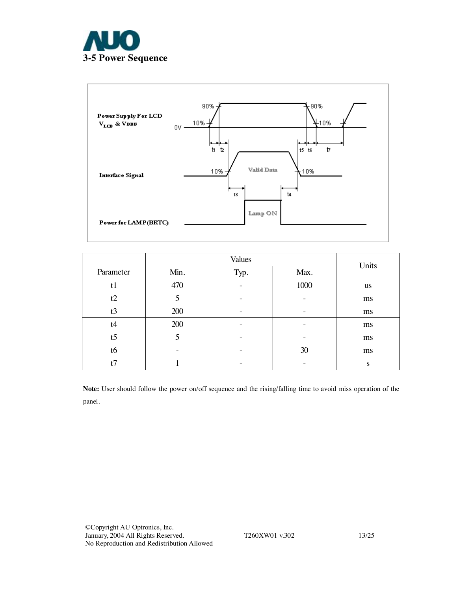



|                |                   | Units |      |           |  |
|----------------|-------------------|-------|------|-----------|--|
| Parameter      | Min.              | Typ.  | Max. |           |  |
| t <sub>1</sub> | 470               |       | 1000 | <b>us</b> |  |
| t2             | 5                 |       |      | ms        |  |
| t3             | 200               |       |      | ms        |  |
| t4             | 200               |       |      | ms        |  |
| t <sub>5</sub> | 5                 |       |      | ms        |  |
| t6             | $\qquad \qquad -$ |       | 30   | ms        |  |
| t7             |                   | -     |      | S         |  |

**Note:** User should follow the power on/off sequence and the rising/falling time to avoid miss operation of the panel.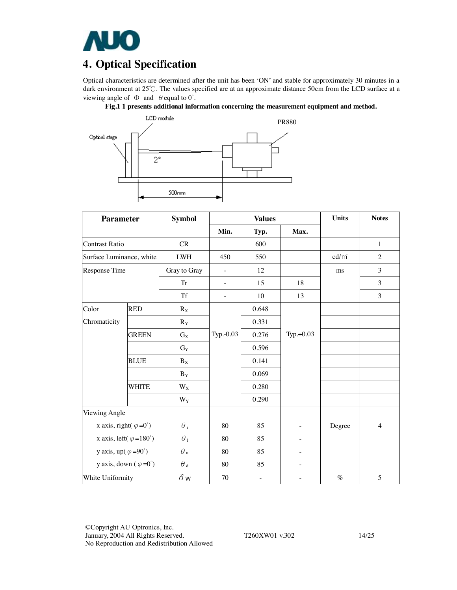

# **4. Optical Specification**

Optical characteristics are determined after the unit has been 'ON' and stable for approximately 30 minutes in a dark environment at 25℃. The values specified are at an approximate distance 50cm from the LCD surface at a viewing angle of  $\Phi$  and  $\theta$  equal to  $0^\circ$ .





| <b>Parameter</b>                       |              | <b>Symbol</b>           |                          | <b>Values</b>            | <b>Units</b>             | <b>Notes</b> |                |
|----------------------------------------|--------------|-------------------------|--------------------------|--------------------------|--------------------------|--------------|----------------|
|                                        |              |                         | Min.                     | Typ.                     | Max.                     |              |                |
| <b>Contrast Ratio</b>                  |              | CR                      |                          | 600                      |                          |              | $\mathbf{1}$   |
| Surface Luminance, white               |              | ${\rm LWH}$             | 450                      | 550                      |                          | $cd/m^2$     | $\overline{2}$ |
| Response Time                          |              | Gray to Gray            | $\overline{\phantom{a}}$ | 12                       |                          | ms           | 3              |
|                                        |              | Tr                      | $\overline{\phantom{a}}$ | 15                       | 18                       |              | 3              |
|                                        |              | <b>Tf</b>               | $\bar{\phantom{a}}$      | 10                       | 13                       |              | 3              |
| Color                                  | <b>RED</b>   | $R_X$                   |                          | 0.648                    |                          |              |                |
| Chromaticity                           |              | $R_Y$                   |                          | 0.331                    |                          |              |                |
|                                        | <b>GREEN</b> | $G_X$                   | Typ.-0.03                | 0.276                    | Typ.+0.03                |              |                |
|                                        |              | $G_Y$                   |                          | 0.596                    |                          |              |                |
|                                        | <b>BLUE</b>  | $B_X$                   |                          | 0.141                    |                          |              |                |
|                                        |              | $B_Y$                   |                          | 0.069                    |                          |              |                |
|                                        | <b>WHITE</b> | $W_X$                   |                          | 0.280                    |                          |              |                |
|                                        |              | $\mathbf{W}_\mathbf{Y}$ |                          | 0.290                    |                          |              |                |
| Viewing Angle                          |              |                         |                          |                          |                          |              |                |
| x axis, right( $\varphi = 0^{\circ}$ ) |              | $\theta$ ,              | 80                       | 85                       | $\overline{\phantom{0}}$ | Degree       | $\overline{4}$ |
| x axis, left( $\varphi = 180^\circ$ )  |              | $\theta_1$              | 80                       | 85                       | $\overline{a}$           |              |                |
| y axis, up( $\varphi = 90^\circ$ )     |              | $\theta$ u              | 80                       | 85                       | $\equiv$                 |              |                |
| y axis, down $(\varphi = 0^{\circ})$   |              | $\theta$ $_{\rm d}$     | 80                       | 85                       | ÷,                       |              |                |
| White Uniformity                       |              | $\delta w$              | 70                       | $\overline{\phantom{a}}$ |                          | $\%$         | 5              |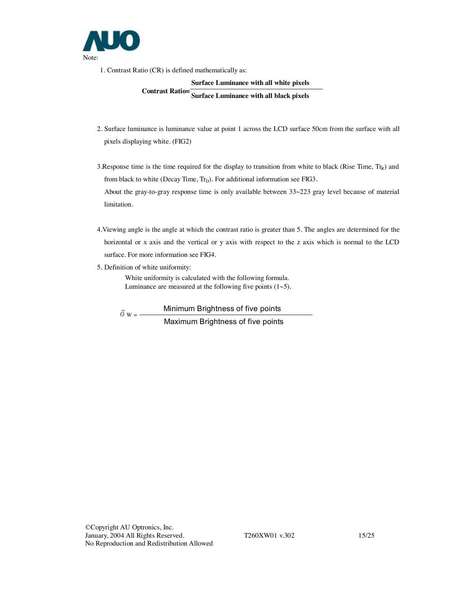

limitation.

1. Contrast Ratio (CR) is defined mathematically as:

#### **Surface Luminance with all white pixels**

**Contrast Ratio= Surface Luminance with all black pixels** 

- 2. Surface luminance is luminance value at point 1 across the LCD surface 50cm from the surface with all pixels displaying white. (FIG2)
- 3. Response time is the time required for the display to transition from white to black (Rise Time,  $Tr_R$ ) and from black to white (Decay Time,  $Tr_D$ ). For additional information see FIG3. About the gray-to-gray response time is only available between 33~223 gray level because of material
- 4.Viewing angle is the angle at which the contrast ratio is greater than 5. The angles are determined for the horizontal or x axis and the vertical or y axis with respect to the z axis which is normal to the LCD surface. For more information see FIG4.
- 5. Definition of white uniformity:

White uniformity is calculated with the following formula. Luminance are measured at the following five points  $(1~5)$ .

 $\delta_{W}$  = Minimum Brightness of five points Maximum Brightness of five points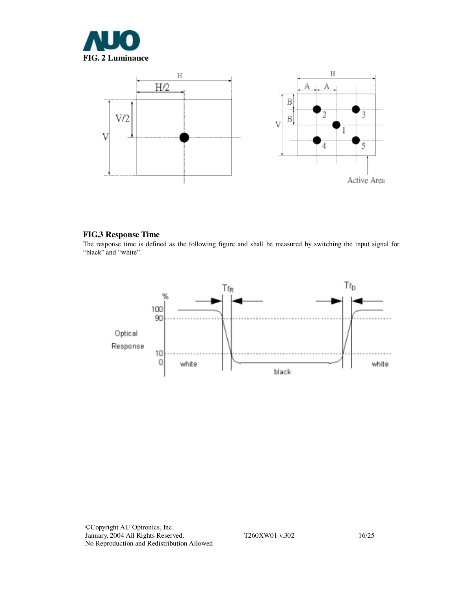



#### **FIG.3 Response Time**

The response time is defined as the following figure and shall be measured by switching the input signal for "black" and "white".

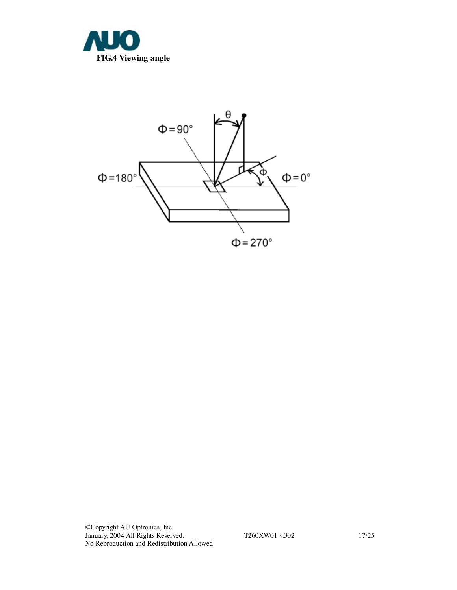



©Copyright AU Optronics, Inc. January, 2004 All Rights Reserved. T260XW01 v.302 17/25 No Reproduction and Redistribution Allowed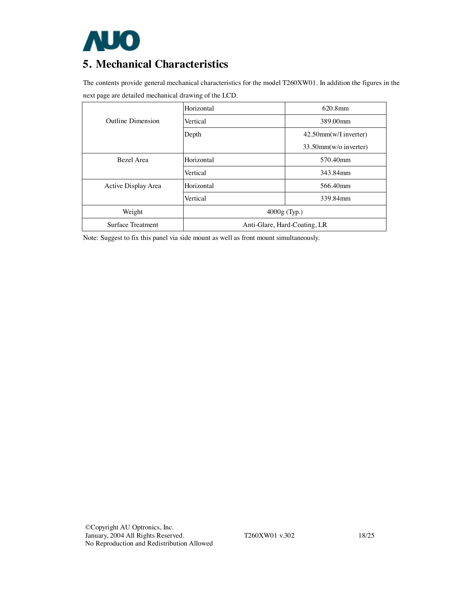

# **5. Mechanical Characteristics**

The contents provide general mechanical characteristics for the model T260XW01. In addition the figures in the next page are detailed mechanical drawing of the LCD.

|                          | Horizontal     | 620.8mm                      |
|--------------------------|----------------|------------------------------|
| Outline Dimension        | Vertical       | 389.00mm                     |
|                          | Depth          | $42.50$ mm(w/I inverter)     |
|                          |                | $33.50$ mm(w/o inverter)     |
| Bezel Area               | Horizontal     | 570.40mm                     |
|                          | Vertical       | 343.84mm                     |
| Active Display Area      | Horizontal     | 566.40mm                     |
|                          | Vertical       | 339.84mm                     |
| Weight                   | $4000g$ (Typ.) |                              |
| <b>Surface Treatment</b> |                | Anti-Glare, Hard-Coating, LR |

Note: Suggest to fix this panel via side mount as well as front mount simultaneously.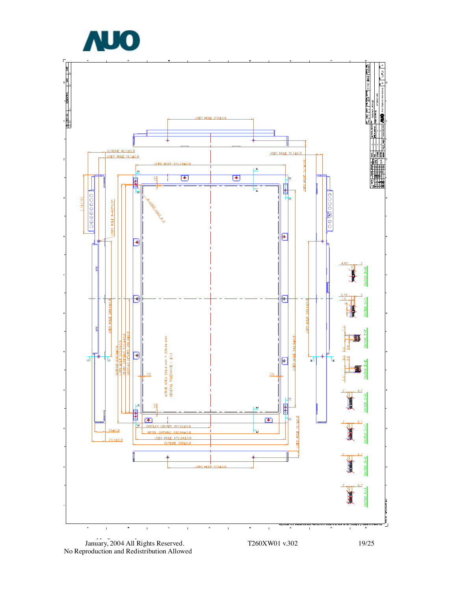



No Reproduction and Redistribution Allowed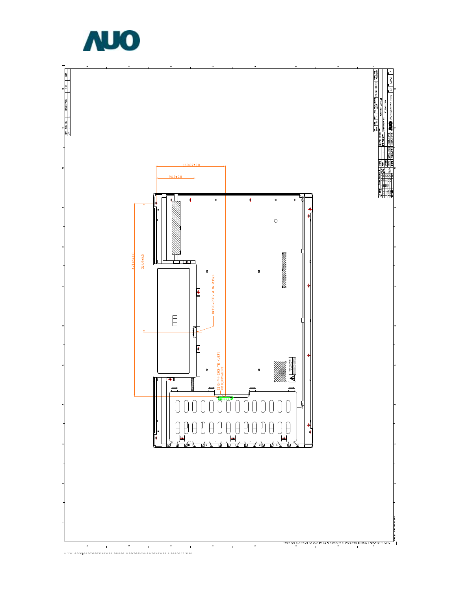

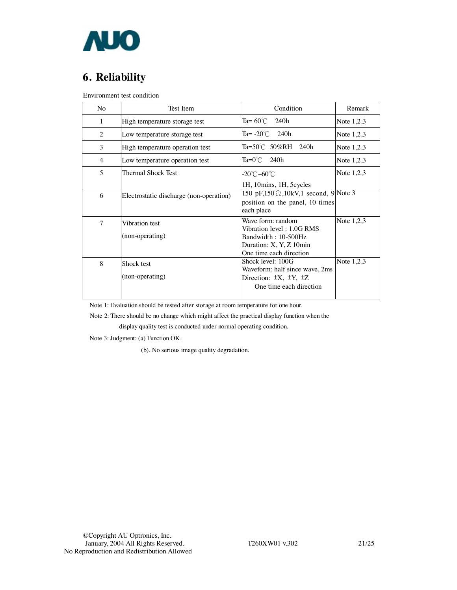

# **6. Reliability**

Environment test condition

| N <sub>o</sub> | Test Item                               | Condition                                                                                                                   | Remark       |
|----------------|-----------------------------------------|-----------------------------------------------------------------------------------------------------------------------------|--------------|
| 1              | High temperature storage test           | Ta= 60 $\degree$ C<br>240h                                                                                                  | Note $1,2,3$ |
| 2              | Low temperature storage test            | Ta= $-20^{\circ}$ C 240h                                                                                                    | Note $1,2,3$ |
| 3              | High temperature operation test         | Ta=50℃ 50%RH 240h                                                                                                           | Note $1,2,3$ |
| $\overline{4}$ | Low temperature operation test          | Ta=0℃ 240h                                                                                                                  | Note $1,2,3$ |
| 5              | Thermal Shock Test                      | -20℃~60℃<br>1H, 10mins, 1H, 5cycles                                                                                         | Note $1,2,3$ |
| 6              | Electrostatic discharge (non-operation) | 150 pF,150 $\Omega$ ,10kV,1 second, 9 Note 3<br>position on the panel, 10 times<br>each place                               |              |
| $\overline{7}$ | Vibration test<br>(non-operating)       | Wave form: random<br>Vibration level: 1.0G RMS<br>Bandwidth: 10-500Hz<br>Duration: X, Y, Z 10min<br>One time each direction | Note $1,2,3$ |
| 8              | Shock test<br>(non-operating)           | Shock level: 100G<br>Waveform: half since wave, 2ms<br>Direction: $\pm X$ , $\pm Y$ , $\pm Z$<br>One time each direction    | Note $1,2,3$ |

Note 1: Evaluation should be tested after storage at room temperature for one hour.

Note 2: There should be no change which might affect the practical display function when the

display quality test is conducted under normal operating condition.

Note 3: Judgment: (a) Function OK.

(b). No serious image quality degradation.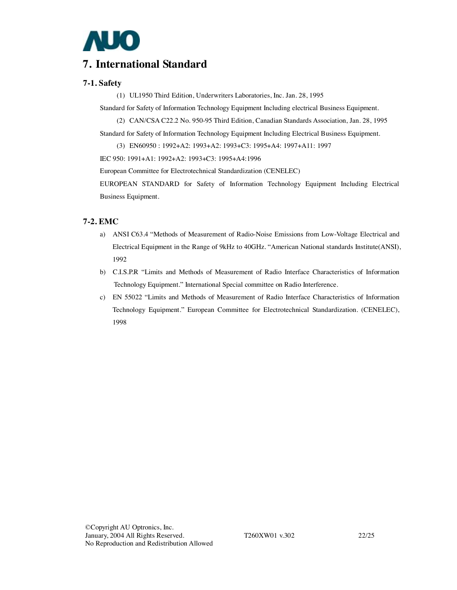

## **7. International Standard**

### **7-1. Safety**

(1) UL1950 Third Edition, Underwriters Laboratories, Inc. Jan. 28, 1995

Standard for Safety of Information Technology Equipment Including electrical Business Equipment.

(2) CAN/CSA C22.2 No. 950-95 Third Edition, Canadian Standards Association, Jan. 28, 1995

Standard for Safety of Information Technology Equipment Including Electrical Business Equipment.

(3) EN60950 : 1992+A2: 1993+A2: 1993+C3: 1995+A4: 1997+A11: 1997

IEC 950: 1991+A1: 1992+A2: 1993+C3: 1995+A4:1996

European Committee for Electrotechnical Standardization (CENELEC)

EUROPEAN STANDARD for Safety of Information Technology Equipment Including Electrical Business Equipment.

### **7-2. EMC**

- a) ANSI C63.4 "Methods of Measurement of Radio-Noise Emissions from Low-Voltage Electrical and Electrical Equipment in the Range of 9kHz to 40GHz. "American National standards Institute(ANSI), 1992
- b) C.I.S.P.R "Limits and Methods of Measurement of Radio Interface Characteristics of Information Technology Equipment." International Special committee on Radio Interference.
- c) EN 55022 "Limits and Methods of Measurement of Radio Interface Characteristics of Information Technology Equipment." European Committee for Electrotechnical Standardization. (CENELEC), 1998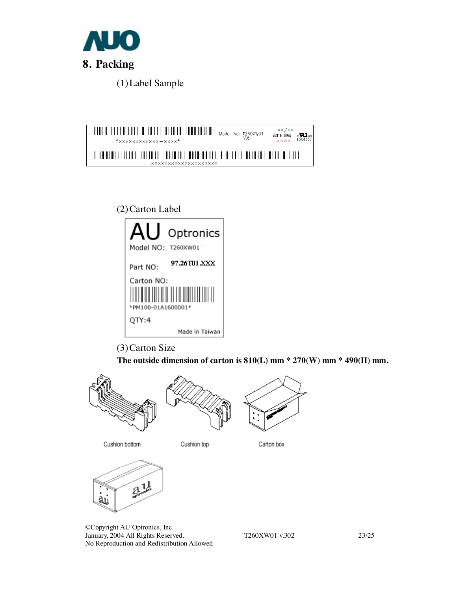

(1)Label Sample





(3)Carton Size

 **The outside dimension of carton is 810(L) mm \* 270(W) mm \* 490(H) mm.** 



Cushion top

Carton box



Cushion bottom

©Copyright AU Optronics, Inc. January, 2004 All Rights Reserved. T260XW01 v.302 23/25 No Reproduction and Redistribution Allowed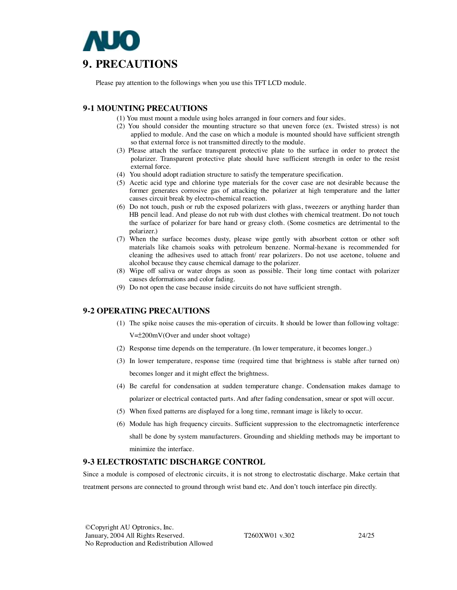

Please pay attention to the followings when you use this TFT LCD module.

### **9-1 MOUNTING PRECAUTIONS**

- (1) You must mount a module using holes arranged in four corners and four sides.
- (2) You should consider the mounting structure so that uneven force (ex. Twisted stress) is not applied to module. And the case on which a module is mounted should have sufficient strength so that external force is not transmitted directly to the module.
- (3) Please attach the surface transparent protective plate to the surface in order to protect the polarizer. Transparent protective plate should have sufficient strength in order to the resist external force.
- (4) You should adopt radiation structure to satisfy the temperature specification.
- (5) Acetic acid type and chlorine type materials for the cover case are not desirable because the former generates corrosive gas of attacking the polarizer at high temperature and the latter causes circuit break by electro-chemical reaction.
- (6) Do not touch, push or rub the exposed polarizers with glass, tweezers or anything harder than HB pencil lead. And please do not rub with dust clothes with chemical treatment. Do not touch the surface of polarizer for bare hand or greasy cloth. (Some cosmetics are detrimental to the polarizer.)
- (7) When the surface becomes dusty, please wipe gently with absorbent cotton or other soft materials like chamois soaks with petroleum benzene. Normal-hexane is recommended for cleaning the adhesives used to attach front/ rear polarizers. Do not use acetone, toluene and alcohol because they cause chemical damage to the polarizer.
- (8) Wipe off saliva or water drops as soon as possible. Their long time contact with polarizer causes deformations and color fading.
- (9) Do not open the case because inside circuits do not have sufficient strength.

#### **9-2 OPERATING PRECAUTIONS**

(1) The spike noise causes the mis-operation of circuits. It should be lower than following voltage:

V=±200mV(Over and under shoot voltage)

- (2) Response time depends on the temperature. (In lower temperature, it becomes longer..)
- (3) In lower temperature, response time (required time that brightness is stable after turned on) becomes longer and it might effect the brightness.
- (4) Be careful for condensation at sudden temperature change. Condensation makes damage to polarizer or electrical contacted parts. And after fading condensation, smear or spot will occur.
- (5) When fixed patterns are displayed for a long time, remnant image is likely to occur.
- (6) Module has high frequency circuits. Sufficient suppression to the electromagnetic interference shall be done by system manufacturers. Grounding and shielding methods may be important to minimize the interface.

#### **9-3 ELECTROSTATIC DISCHARGE CONTROL**

Since a module is composed of electronic circuits, it is not strong to electrostatic discharge. Make certain that treatment persons are connected to ground through wrist band etc. And don't touch interface pin directly.

©Copyright AU Optronics, Inc. January, 2004 All Rights Reserved. T260XW01 v.302 24/25 No Reproduction and Redistribution Allowed